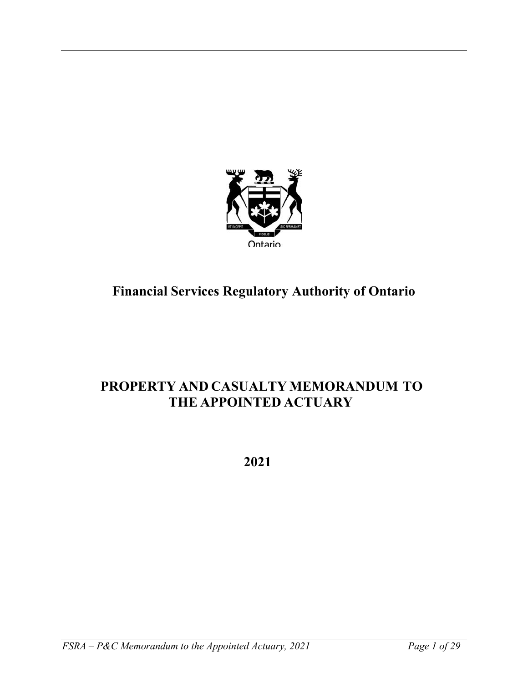

# **Financial Services Regulatory Authority of Ontario**

# **PROPERTY AND CASUALTY MEMORANDUM TO THE APPOINTED ACTUARY**

 **2021**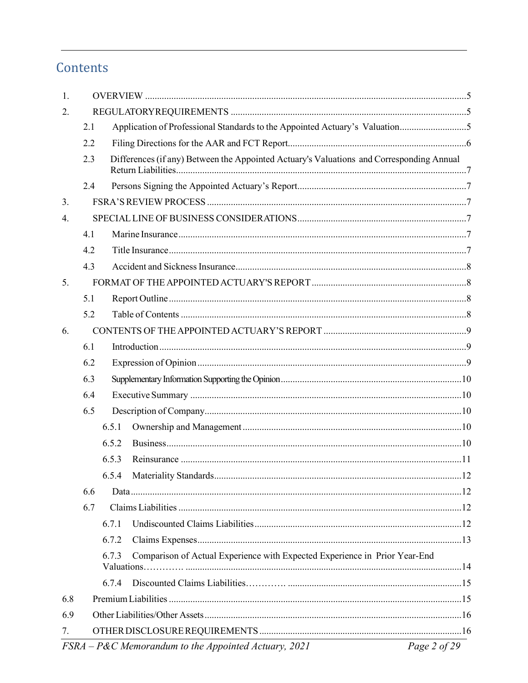# Contents

| 1.  |     |                                                                                          |              |
|-----|-----|------------------------------------------------------------------------------------------|--------------|
| 2.  |     |                                                                                          |              |
|     | 2.1 | Application of Professional Standards to the Appointed Actuary's Valuation5              |              |
|     | 2.2 |                                                                                          |              |
|     | 2.3 | Differences (if any) Between the Appointed Actuary's Valuations and Corresponding Annual |              |
|     | 2.4 |                                                                                          |              |
| 3.  |     |                                                                                          |              |
| 4.  |     |                                                                                          |              |
|     | 4.1 |                                                                                          |              |
|     | 4.2 |                                                                                          |              |
|     | 4.3 |                                                                                          |              |
| 5.  |     |                                                                                          |              |
|     | 5.1 |                                                                                          |              |
|     | 5.2 |                                                                                          |              |
| 6.  |     |                                                                                          |              |
|     | 6.1 |                                                                                          |              |
|     | 6.2 |                                                                                          |              |
|     | 6.3 |                                                                                          |              |
|     | 6.4 |                                                                                          |              |
|     | 6.5 |                                                                                          |              |
|     |     | 6.5.1                                                                                    |              |
|     |     | 6.5.2                                                                                    |              |
|     |     | 6.5.3                                                                                    |              |
|     |     |                                                                                          |              |
|     | 6.6 |                                                                                          |              |
|     | 6.7 |                                                                                          |              |
|     |     | 6.7.1                                                                                    |              |
|     |     | 6.7.2                                                                                    |              |
|     |     | Comparison of Actual Experience with Expected Experience in Prior Year-End<br>6.7.3      |              |
|     |     | 6.7.4                                                                                    |              |
| 6.8 |     |                                                                                          |              |
| 6.9 |     |                                                                                          |              |
| 7.  |     |                                                                                          |              |
|     |     | $FSRA-P\&C$ Memorandum to the Appointed Actuary, 2021                                    | Page 2 of 29 |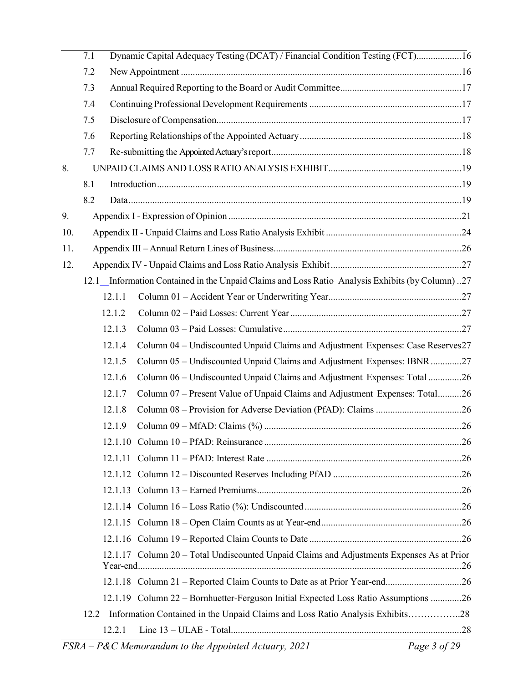|     | 7.1 |        | Dynamic Capital Adequacy Testing (DCAT) / Financial Condition Testing (FCT)16                   |  |
|-----|-----|--------|-------------------------------------------------------------------------------------------------|--|
|     | 7.2 |        |                                                                                                 |  |
|     | 7.3 |        |                                                                                                 |  |
|     | 7.4 |        |                                                                                                 |  |
|     | 7.5 |        |                                                                                                 |  |
|     | 7.6 |        |                                                                                                 |  |
|     | 7.7 |        |                                                                                                 |  |
| 8.  |     |        |                                                                                                 |  |
|     | 8.1 |        |                                                                                                 |  |
|     | 8.2 |        |                                                                                                 |  |
| 9.  |     |        |                                                                                                 |  |
| 10. |     |        |                                                                                                 |  |
| 11. |     |        |                                                                                                 |  |
| 12. |     |        |                                                                                                 |  |
|     |     |        | 12.1 Information Contained in the Unpaid Claims and Loss Ratio Analysis Exhibits (by Column) 27 |  |
|     |     | 12.1.1 |                                                                                                 |  |
|     |     | 12.1.2 |                                                                                                 |  |
|     |     | 12.1.3 |                                                                                                 |  |
|     |     | 12.1.4 | Column 04 - Undiscounted Unpaid Claims and Adjustment Expenses: Case Reserves27                 |  |
|     |     | 12.1.5 | Column 05 – Undiscounted Unpaid Claims and Adjustment Expenses: IBNR27                          |  |
|     |     | 12.1.6 | Column 06 - Undiscounted Unpaid Claims and Adjustment Expenses: Total 26                        |  |
|     |     | 12.1.7 | Column 07 - Present Value of Unpaid Claims and Adjustment Expenses: Total26                     |  |
|     |     | 12.1.8 |                                                                                                 |  |
|     |     | 12.1.9 |                                                                                                 |  |
|     |     |        |                                                                                                 |  |
|     |     |        |                                                                                                 |  |
|     |     |        |                                                                                                 |  |
|     |     |        |                                                                                                 |  |
|     |     |        |                                                                                                 |  |
|     |     |        |                                                                                                 |  |
|     |     |        |                                                                                                 |  |
|     |     |        | 12.1.17 Column 20 - Total Undiscounted Unpaid Claims and Adjustments Expenses As at Prior       |  |
|     |     |        |                                                                                                 |  |
|     |     |        | 12.1.19 Column 22 – Bornhuetter-Ferguson Initial Expected Loss Ratio Assumptions 26             |  |
|     |     |        | 12.2 Information Contained in the Unpaid Claims and Loss Ratio Analysis Exhibits28              |  |
|     |     | 12.2.1 |                                                                                                 |  |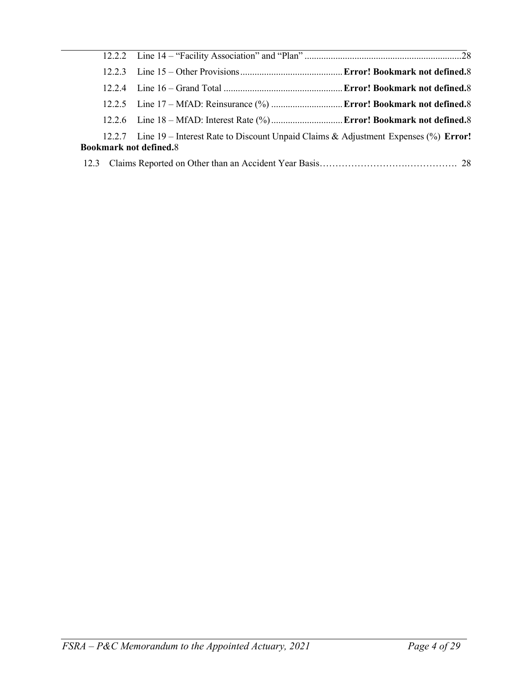| 12.2.7 Line 19 – Interest Rate to Discount Unpaid Claims & Adjustment Expenses (%) Error!<br><b>Bookmark not defined.8</b> |  |
|----------------------------------------------------------------------------------------------------------------------------|--|
|                                                                                                                            |  |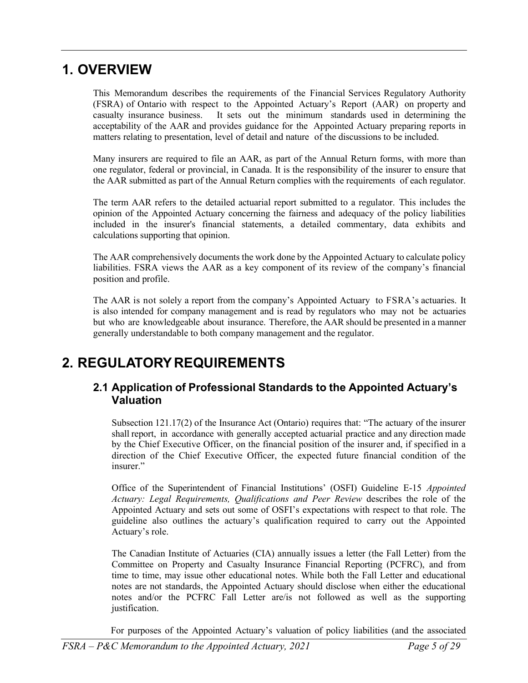## <span id="page-4-0"></span>**1. OVERVIEW**

This Memorandum describes the requirements of the Financial Services Regulatory Authority (FSRA) of Ontario with respect to the Appointed Actuary's Report (AAR) on property and casualty insurance business. It sets out the minimum standards used in determining the acceptability of the AAR and provides guidance for the Appointed Actuary preparing reports in matters relating to presentation, level of detail and nature of the discussions to be included.

Many insurers are required to file an AAR, as part of the Annual Return forms, with more than one regulator, federal or provincial, in Canada. It is the responsibility of the insurer to ensure that the AAR submitted as part of the Annual Return complies with the requirements of each regulator.

The term AAR refers to the detailed actuarial report submitted to a regulator. This includes the opinion of the Appointed Actuary concerning the fairness and adequacy of the policy liabilities included in the insurer's financial statements, a detailed commentary, data exhibits and calculations supporting that opinion.

The AAR comprehensively documents the work done by the Appointed Actuary to calculate policy liabilities. FSRA views the AAR as a key component of its review of the company's financial position and profile.

The AAR is not solely a report from the company's Appointed Actuary to FSRA's actuaries. It is also intended for company management and is read by regulators who may not be actuaries but who are knowledgeable about insurance. Therefore, the AAR should be presented in a manner generally understandable to both company management and the regulator.

## <span id="page-4-2"></span><span id="page-4-1"></span>**2. REGULATORYREQUIREMENTS**

## **2.1 Application of Professional Standards to the Appointed Actuary's Valuation**

Subsection 121.17(2) of the Insurance Act (Ontario) requires that: "The actuary of the insurer shall report, in accordance with generally accepted actuarial practice and any direction made by the Chief Executive Officer, on the financial position of the insurer and, if specified in a direction of the Chief Executive Officer, the expected future financial condition of the insurer."

Office of the Superintendent of Financial Institutions' (OSFI) Guideline E-15 *Appointed Actuary: Legal Requirements, Qualifications and Peer Review* describes the role of the Appointed Actuary and sets out some of OSFI's expectations with respect to that role. The guideline also outlines the actuary's qualification required to carry out the Appointed Actuary's role.

The Canadian Institute of Actuaries (CIA) annually issues a letter (the Fall Letter) from the Committee on Property and Casualty Insurance Financial Reporting (PCFRC), and from time to time, may issue other educational notes. While both the Fall Letter and educational notes are not standards, the Appointed Actuary should disclose when either the educational notes and/or the PCFRC Fall Letter are/is not followed as well as the supporting justification.

For purposes of the Appointed Actuary's valuation of policy liabilities (and the associated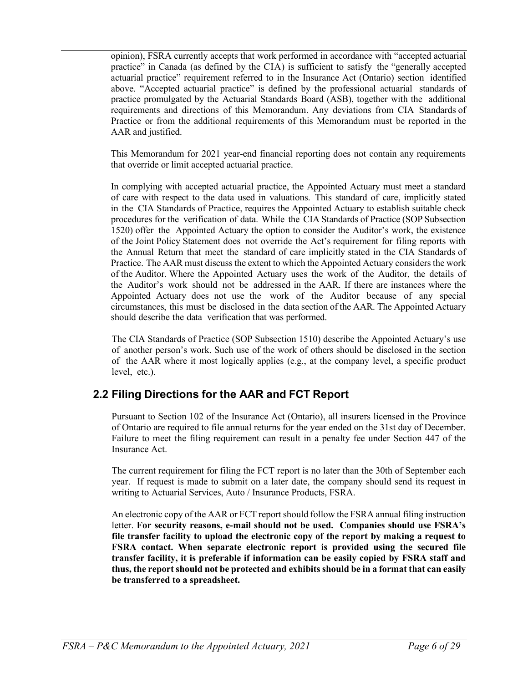opinion), FSRA currently accepts that work performed in accordance with "accepted actuarial practice" in Canada (as defined by the CIA) is sufficient to satisfy the "generally accepted actuarial practice" requirement referred to in the Insurance Act (Ontario) section identified above. "Accepted actuarial practice" is defined by the professional actuarial standards of practice promulgated by the Actuarial Standards Board (ASB), together with the additional requirements and directions of this Memorandum. Any deviations from CIA Standards of Practice or from the additional requirements of this Memorandum must be reported in the AAR and justified.

This Memorandum for 2021 year-end financial reporting does not contain any requirements that override or limit accepted actuarial practice.

In complying with accepted actuarial practice, the Appointed Actuary must meet a standard of care with respect to the data used in valuations. This standard of care, implicitly stated in the CIA Standards of Practice, requires the Appointed Actuary to establish suitable check procedures for the verification of data. While the CIA Standards of Practice (SOP Subsection 1520) offer the Appointed Actuary the option to consider the Auditor's work, the existence of the Joint Policy Statement does not override the Act's requirement for filing reports with the Annual Return that meet the standard of care implicitly stated in the CIA Standards of Practice. The AAR must discuss the extent to which the Appointed Actuary considers the work of the Auditor. Where the Appointed Actuary uses the work of the Auditor, the details of the Auditor's work should not be addressed in the AAR. If there are instances where the Appointed Actuary does not use the work of the Auditor because of any special circumstances, this must be disclosed in the data section of the AAR. The Appointed Actuary should describe the data verification that was performed.

The CIA Standards of Practice (SOP Subsection 1510) describe the Appointed Actuary's use of another person's work. Such use of the work of others should be disclosed in the section of the AAR where it most logically applies (e.g., at the company level, a specific product level, etc.).

## <span id="page-5-0"></span>**2.2 Filing Directions for the AAR and FCT Report**

Pursuant to Section 102 of the Insurance Act (Ontario), all insurers licensed in the Province of Ontario are required to file annual returns for the year ended on the 31st day of December. Failure to meet the filing requirement can result in a penalty fee under Section 447 of the Insurance Act.

The current requirement for filing the FCT report is no later than the 30th of September each year. If request is made to submit on a later date, the company should send its request in writing to Actuarial Services, Auto / Insurance Products, FSRA.

An electronic copy of the AAR or FCT reportshould follow the FSRA annual filing instruction letter. **For security reasons, e-mail should not be used. Companies should use FSRA's file transfer facility to upload the electronic copy of the report by making a request to FSRA contact. When separate electronic report is provided using the secured file transfer facility, it is preferable if information can be easily copied by FSRA staff and thus, the report should not be protected and exhibits should be in a format that can easily be transferred to a spreadsheet.**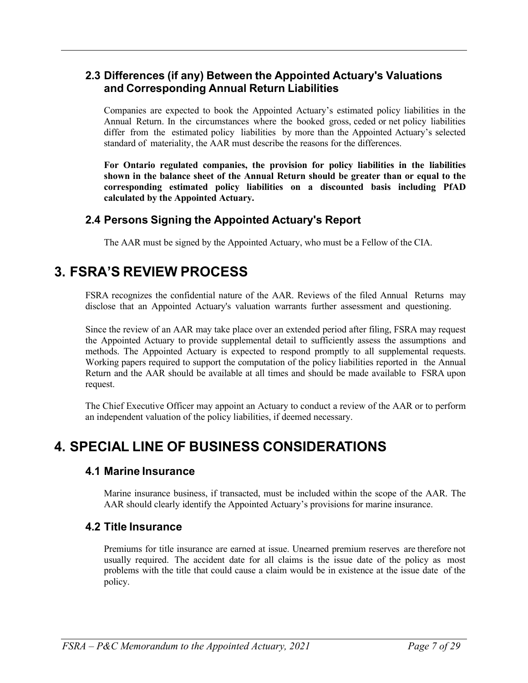## <span id="page-6-0"></span>**2.3 Differences (if any) Between the Appointed Actuary's Valuations and Corresponding Annual Return Liabilities**

Companies are expected to book the Appointed Actuary's estimated policy liabilities in the Annual Return. In the circumstances where the booked gross, ceded or net policy liabilities differ from the estimated policy liabilities by more than the Appointed Actuary's selected standard of materiality, the AAR must describe the reasons for the differences.

**For Ontario regulated companies, the provision for policy liabilities in the liabilities shown in the balance sheet of the Annual Return should be greater than or equal to the corresponding estimated policy liabilities on a discounted basis including PfAD calculated by the Appointed Actuary.**

### **2.4 Persons Signing the Appointed Actuary's Report**

The AAR must be signed by the Appointed Actuary, who must be a Fellow of the CIA.

## <span id="page-6-1"></span>**3. FSRA'S REVIEW PROCESS**

FSRA recognizes the confidential nature of the AAR. Reviews of the filed Annual Returns may disclose that an Appointed Actuary's valuation warrants further assessment and questioning.

Since the review of an AAR may take place over an extended period after filing, FSRA may request the Appointed Actuary to provide supplemental detail to sufficiently assess the assumptions and methods. The Appointed Actuary is expected to respond promptly to all supplemental requests. Working papers required to support the computation of the policy liabilities reported in the Annual Return and the AAR should be available at all times and should be made available to FSRA upon request.

The Chief Executive Officer may appoint an Actuary to conduct a review of the AAR or to perform an independent valuation of the policy liabilities, if deemed necessary.

## <span id="page-6-3"></span><span id="page-6-2"></span>**4. SPECIAL LINE OF BUSINESS CONSIDERATIONS**

#### **4.1 Marine Insurance**

Marine insurance business, if transacted, must be included within the scope of the AAR. The AAR should clearly identify the Appointed Actuary's provisions for marine insurance.

#### <span id="page-6-4"></span>**4.2 Title Insurance**

Premiums for title insurance are earned at issue. Unearned premium reserves are therefore not usually required. The accident date for all claims is the issue date of the policy as most problems with the title that could cause a claim would be in existence at the issue date of the policy.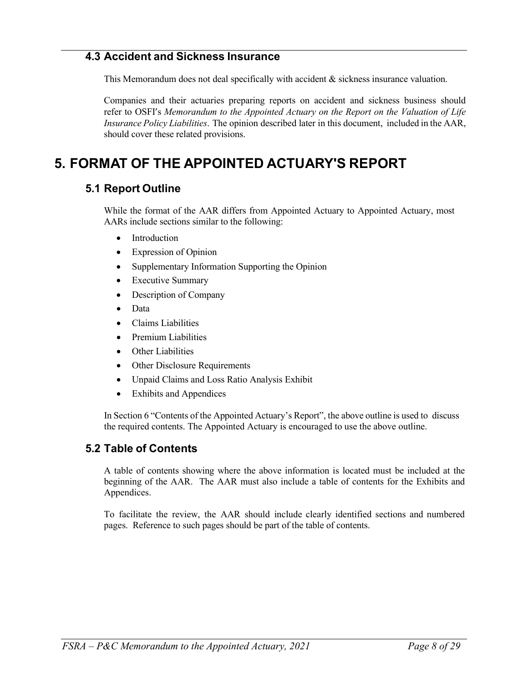### <span id="page-7-0"></span>**4.3 Accident and Sickness Insurance**

This Memorandum does not deal specifically with accident  $\&$  sickness insurance valuation.

Companies and their actuaries preparing reports on accident and sickness business should refer to OSFI's *Memorandum to the Appointed Actuary on the Report on the Valuation of Life Insurance Policy Liabilities*. The opinion described later in this document, included in the AAR, should cover these related provisions.

## <span id="page-7-2"></span><span id="page-7-1"></span>**5. FORMAT OF THE APPOINTED ACTUARY'S REPORT**

### **5.1 Report Outline**

While the format of the AAR differs from Appointed Actuary to Appointed Actuary, most AARs include sections similar to the following:

- Introduction
- Expression of Opinion
- Supplementary Information Supporting the Opinion
- Executive Summary
- Description of Company
- Data
- Claims Liabilities
- Premium Liabilities
- **Other Liabilities**
- Other Disclosure Requirements
- Unpaid Claims and Loss Ratio Analysis Exhibit
- Exhibits and Appendices

In Section 6 "Contents of the Appointed Actuary's Report", the above outline is used to discuss the required contents. The Appointed Actuary is encouraged to use the above outline.

### <span id="page-7-3"></span>**5.2 Table of Contents**

A table of contents showing where the above information is located must be included at the beginning of the AAR. The AAR must also include a table of contents for the Exhibits and Appendices.

To facilitate the review, the AAR should include clearly identified sections and numbered pages. Reference to such pages should be part of the table of contents.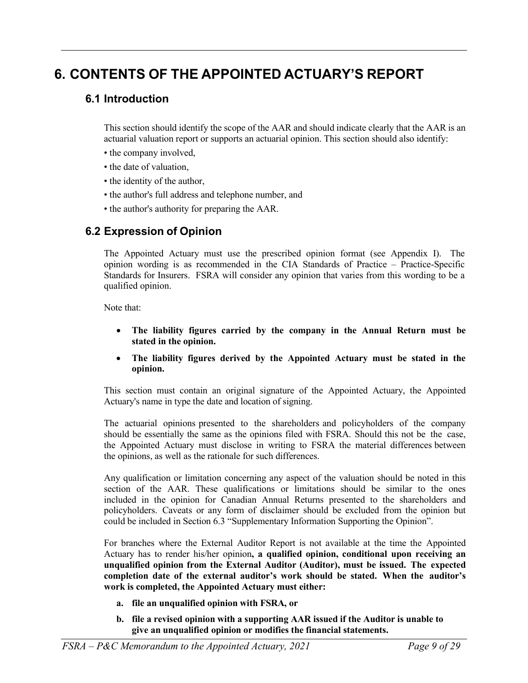# <span id="page-8-1"></span><span id="page-8-0"></span>**6. CONTENTS OF THE APPOINTED ACTUARY'S REPORT**

### **6.1 Introduction**

This section should identify the scope of the AAR and should indicate clearly that the AAR is an actuarial valuation report or supports an actuarial opinion. This section should also identify:

- the company involved,
- the date of valuation,
- the identity of the author,
- the author's full address and telephone number, and
- the author's authority for preparing the AAR.

## <span id="page-8-2"></span>**6.2 Expression of Opinion**

The Appointed Actuary must use the prescribed opinion format (see Appendix I). The opinion wording is as recommended in the CIA Standards of Practice – Practice-Specific Standards for Insurers. FSRA will consider any opinion that varies from this wording to be a qualified opinion.

Note that:

- **The liability figures carried by the company in the Annual Return must be stated in the opinion.**
- **The liability figures derived by the Appointed Actuary must be stated in the opinion.**

This section must contain an original signature of the Appointed Actuary, the Appointed Actuary's name in type the date and location of signing.

The actuarial opinions presented to the shareholders and policyholders of the company should be essentially the same as the opinions filed with FSRA. Should this not be the case, the Appointed Actuary must disclose in writing to FSRA the material differences between the opinions, as well as the rationale for such differences.

Any qualification or limitation concerning any aspect of the valuation should be noted in this section of the AAR. These qualifications or limitations should be similar to the ones included in the opinion for Canadian Annual Returns presented to the shareholders and policyholders. Caveats or any form of disclaimer should be excluded from the opinion but could be included in Section 6.3 "Supplementary Information Supporting the Opinion".

For branches where the External Auditor Report is not available at the time the Appointed Actuary has to render his/her opinion**, a qualified opinion, conditional upon receiving an unqualified opinion from the External Auditor (Auditor), must be issued. The expected completion date of the external auditor's work should be stated. When the auditor's work is completed, the Appointed Actuary must either:**

- **a. file an unqualified opinion with FSRA, or**
- **b. file a revised opinion with a supporting AAR issued if the Auditor is unable to give an unqualified opinion or modifies the financial statements.**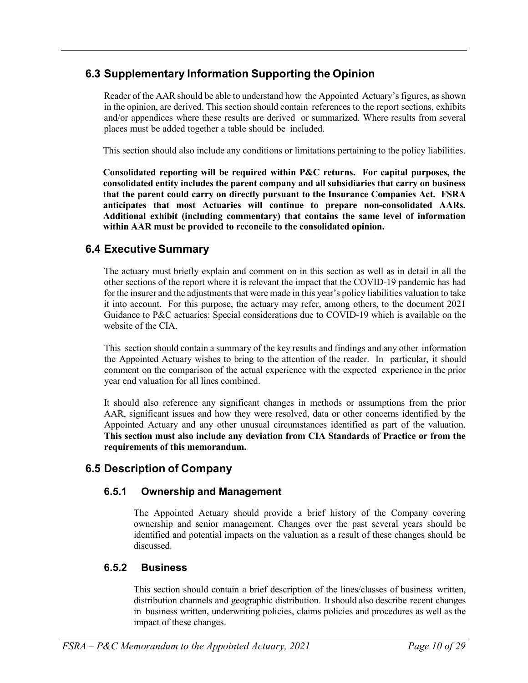## **6.3 Supplementary Information Supporting the Opinion**

Reader of the AAR should be able to understand how the Appointed Actuary's figures, as shown in the opinion, are derived. This section should contain references to the report sections, exhibits and/or appendices where these results are derived or summarized. Where results from several places must be added together a table should be included.

This section should also include any conditions or limitations pertaining to the policy liabilities.

**Consolidated reporting will be required within P&C returns. For capital purposes, the consolidated entity includes the parent company and all subsidiaries that carry on business that the parent could carry on directly pursuant to the Insurance Companies Act. FSRA anticipates that most Actuaries will continue to prepare non-consolidated AARs. Additional exhibit (including commentary) that contains the same level of information within AAR must be provided to reconcile to the consolidated opinion.**

## <span id="page-9-0"></span>**6.4 Executive Summary**

The actuary must briefly explain and comment on in this section as well as in detail in all the other sections of the report where it is relevant the impact that the COVID-19 pandemic has had for the insurer and the adjustments that were made in this year's policy liabilities valuation to take it into account. For this purpose, the actuary may refer, among others, to the document 2021 Guidance to P&C actuaries: Special considerations due to COVID-19 which is available on the website of the CIA.

This section should contain a summary of the key results and findings and any other information the Appointed Actuary wishes to bring to the attention of the reader. In particular, it should comment on the comparison of the actual experience with the expected experience in the prior year end valuation for all lines combined.

It should also reference any significant changes in methods or assumptions from the prior AAR, significant issues and how they were resolved, data or other concerns identified by the Appointed Actuary and any other unusual circumstances identified as part of the valuation. **This section must also include any deviation from CIA Standards of Practice or from the requirements of this memorandum.**

## <span id="page-9-2"></span><span id="page-9-1"></span>**6.5 Description of Company**

### **6.5.1 Ownership and Management**

The Appointed Actuary should provide a brief history of the Company covering ownership and senior management. Changes over the past several years should be identified and potential impacts on the valuation as a result of these changes should be discussed.

### <span id="page-9-3"></span>**6.5.2 Business**

This section should contain a brief description of the lines/classes of business written, distribution channels and geographic distribution. It should also describe recent changes in business written, underwriting policies, claims policies and procedures as well as the impact of these changes.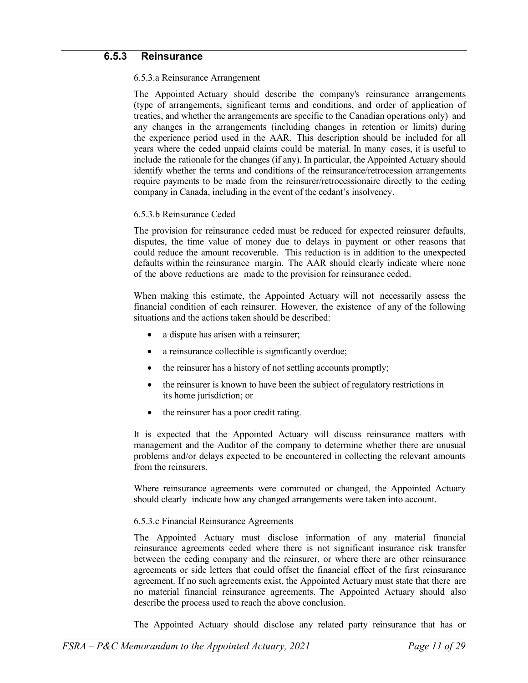#### <span id="page-10-0"></span>**6.5.3 Reinsurance**

#### 6.5.3.a Reinsurance Arrangement

The Appointed Actuary should describe the company's reinsurance arrangements (type of arrangements, significant terms and conditions, and order of application of treaties, and whether the arrangements are specific to the Canadian operations only) and any changes in the arrangements (including changes in retention or limits) during the experience period used in the AAR. This description should be included for all years where the ceded unpaid claims could be material. In many cases, it is useful to include the rationale for the changes (if any). In particular, the Appointed Actuary should identify whether the terms and conditions of the reinsurance/retrocession arrangements require payments to be made from the reinsurer/retrocessionaire directly to the ceding company in Canada, including in the event of the cedant's insolvency.

#### 6.5.3.b Reinsurance Ceded

The provision for reinsurance ceded must be reduced for expected reinsurer defaults, disputes, the time value of money due to delays in payment or other reasons that could reduce the amount recoverable. This reduction is in addition to the unexpected defaults within the reinsurance margin. The AAR should clearly indicate where none of the above reductions are made to the provision for reinsurance ceded.

When making this estimate, the Appointed Actuary will not necessarily assess the financial condition of each reinsurer. However, the existence of any of the following situations and the actions taken should be described:

- a dispute has arisen with a reinsurer;
- a reinsurance collectible is significantly overdue;
- the reinsurer has a history of not settling accounts promptly;
- the reinsurer is known to have been the subject of regulatory restrictions in its home jurisdiction; or
- the reinsurer has a poor credit rating.

It is expected that the Appointed Actuary will discuss reinsurance matters with management and the Auditor of the company to determine whether there are unusual problems and/or delays expected to be encountered in collecting the relevant amounts from the reinsurers.

Where reinsurance agreements were commuted or changed, the Appointed Actuary should clearly indicate how any changed arrangements were taken into account.

#### 6.5.3.c Financial Reinsurance Agreements

The Appointed Actuary must disclose information of any material financial reinsurance agreements ceded where there is not significant insurance risk transfer between the ceding company and the reinsurer, or where there are other reinsurance agreements or side letters that could offset the financial effect of the first reinsurance agreement. If no such agreements exist, the Appointed Actuary must state that there are no material financial reinsurance agreements. The Appointed Actuary should also describe the process used to reach the above conclusion.

The Appointed Actuary should disclose any related party reinsurance that has or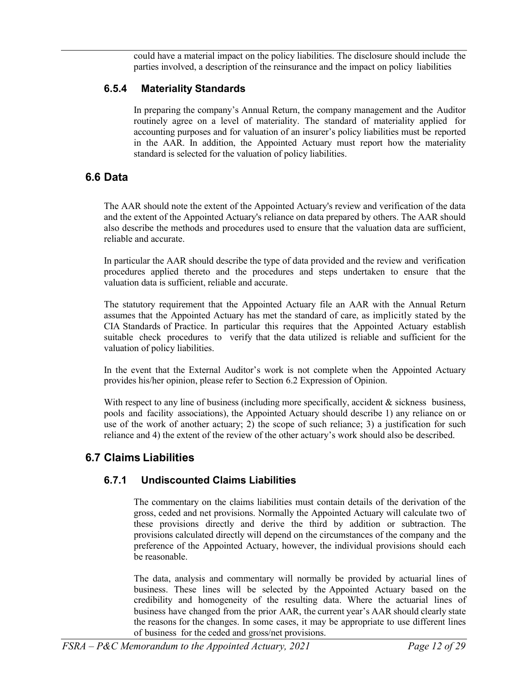could have a material impact on the policy liabilities. The disclosure should include the parties involved, a description of the reinsurance and the impact on policy liabilities

### <span id="page-11-0"></span>**6.5.4 Materiality Standards**

In preparing the company's Annual Return, the company management and the Auditor routinely agree on a level of materiality. The standard of materiality applied for accounting purposes and for valuation of an insurer's policy liabilities must be reported in the AAR. In addition, the Appointed Actuary must report how the materiality standard is selected for the valuation of policy liabilities.

## <span id="page-11-1"></span>**6.6 Data**

The AAR should note the extent of the Appointed Actuary's review and verification of the data and the extent of the Appointed Actuary's reliance on data prepared by others. The AAR should also describe the methods and procedures used to ensure that the valuation data are sufficient, reliable and accurate.

In particular the AAR should describe the type of data provided and the review and verification procedures applied thereto and the procedures and steps undertaken to ensure that the valuation data is sufficient, reliable and accurate.

The statutory requirement that the Appointed Actuary file an AAR with the Annual Return assumes that the Appointed Actuary has met the standard of care, as implicitly stated by the CIA Standards of Practice. In particular this requires that the Appointed Actuary establish suitable check procedures to verify that the data utilized is reliable and sufficient for the valuation of policy liabilities.

In the event that the External Auditor's work is not complete when the Appointed Actuary provides his/her opinion, please refer to Section 6.2 Expression of Opinion.

With respect to any line of business (including more specifically, accident  $\&$  sickness business, pools and facility associations), the Appointed Actuary should describe 1) any reliance on or use of the work of another actuary; 2) the scope of such reliance; 3) a justification for such reliance and 4) the extent of the review of the other actuary's work should also be described.

## <span id="page-11-3"></span><span id="page-11-2"></span>**6.7 Claims Liabilities**

## **6.7.1 Undiscounted Claims Liabilities**

The commentary on the claims liabilities must contain details of the derivation of the gross, ceded and net provisions. Normally the Appointed Actuary will calculate two of these provisions directly and derive the third by addition or subtraction. The provisions calculated directly will depend on the circumstances of the company and the preference of the Appointed Actuary, however, the individual provisions should each be reasonable.

The data, analysis and commentary will normally be provided by actuarial lines of business. These lines will be selected by the Appointed Actuary based on the credibility and homogeneity of the resulting data. Where the actuarial lines of business have changed from the prior AAR, the current year's AAR should clearly state the reasons for the changes. In some cases, it may be appropriate to use different lines of business for the ceded and gross/net provisions.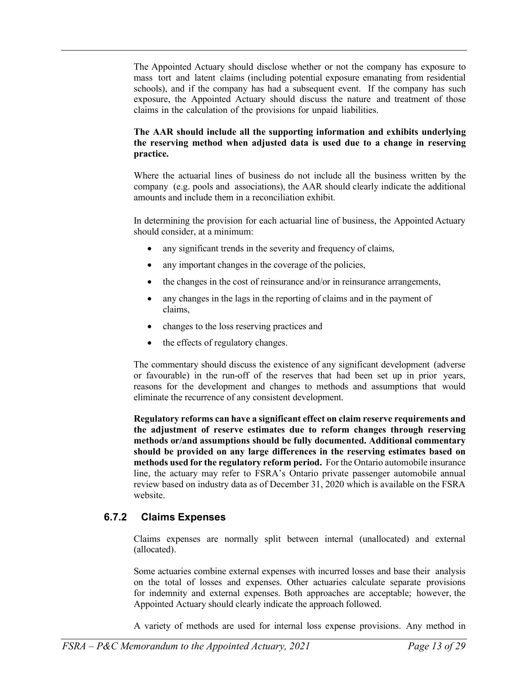The Appointed Actuary should disclose whether or not the company has exposure to mass tort and latent claims (including potential exposure emanating from residential schools), and if the company has had a subsequent event. If the company has such exposure, the Appointed Actuary should discuss the nature and treatment of those claims in the calculation of the provisions for unpaid liabilities.

#### **The AAR should include all the supporting information and exhibits underlying the reserving method when adjusted data is used due to a change in reserving practice.**

Where the actuarial lines of business do not include all the business written by the company (e.g. pools and associations), the AAR should clearly indicate the additional amounts and include them in a reconciliation exhibit.

In determining the provision for each actuarial line of business, the Appointed Actuary should consider, at a minimum:

- any significant trends in the severity and frequency of claims,
- any important changes in the coverage of the policies,
- the changes in the cost of reinsurance and/or in reinsurance arrangements,
- any changes in the lags in the reporting of claims and in the payment of claims,
- changes to the loss reserving practices and
- the effects of regulatory changes.

The commentary should discuss the existence of any significant development (adverse or favourable) in the run-off of the reserves that had been set up in prior years, reasons for the development and changes to methods and assumptions that would eliminate the recurrence of any consistent development.

**Regulatory reforms can have a significant effect on claim reserve requirements and the adjustment of reserve estimates due to reform changes through reserving methods or/and assumptions should be fully documented. Additional commentary should be provided on any large differences in the reserving estimates based on methods used for the regulatory reform period.** For the Ontario automobile insurance line, the actuary may refer to FSRA's Ontario private passenger automobile annual review based on industry data as of December 31, 2020 which is available on the FSRA website.

### <span id="page-12-0"></span>**6.7.2 Claims Expenses**

Claims expenses are normally split between internal (unallocated) and external (allocated).

Some actuaries combine external expenses with incurred losses and base their analysis on the total of losses and expenses. Other actuaries calculate separate provisions for indemnity and external expenses. Both approaches are acceptable; however, the Appointed Actuary should clearly indicate the approach followed.

A variety of methods are used for internal loss expense provisions. Any method in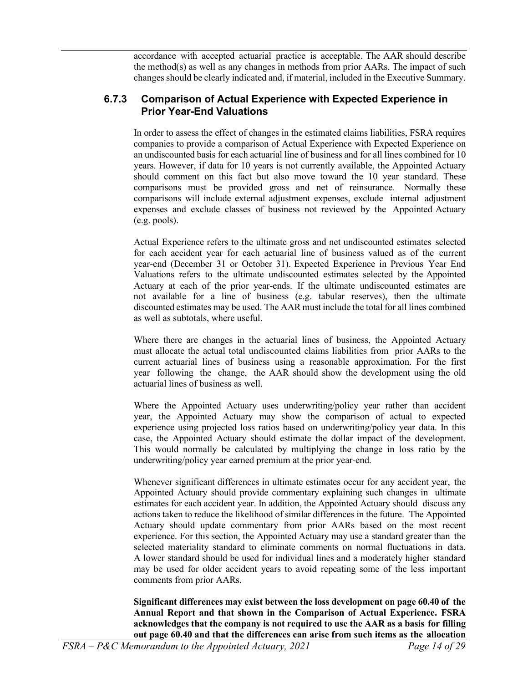accordance with accepted actuarial practice is acceptable. The AAR should describe the method(s) as well as any changes in methods from prior AARs. The impact of such changes should be clearly indicated and, if material, included in the Executive Summary.

#### <span id="page-13-0"></span>**6.7.3 Comparison of Actual Experience with Expected Experience in Prior Year-End Valuations**

In order to assess the effect of changes in the estimated claims liabilities, FSRA requires companies to provide a comparison of Actual Experience with Expected Experience on an undiscounted basis for each actuarial line of business and for all lines combined for 10 years. However, if data for 10 years is not currently available, the Appointed Actuary should comment on this fact but also move toward the 10 year standard. These comparisons must be provided gross and net of reinsurance. Normally these comparisons will include external adjustment expenses, exclude internal adjustment expenses and exclude classes of business not reviewed by the Appointed Actuary (e.g. pools).

Actual Experience refers to the ultimate gross and net undiscounted estimates selected for each accident year for each actuarial line of business valued as of the current year-end (December 31 or October 31). Expected Experience in Previous Year End Valuations refers to the ultimate undiscounted estimates selected by the Appointed Actuary at each of the prior year-ends. If the ultimate undiscounted estimates are not available for a line of business (e.g. tabular reserves), then the ultimate discounted estimates may be used. The AAR must include the total for all lines combined as well as subtotals, where useful.

Where there are changes in the actuarial lines of business, the Appointed Actuary must allocate the actual total undiscounted claims liabilities from prior AARs to the current actuarial lines of business using a reasonable approximation. For the first year following the change, the AAR should show the development using the old actuarial lines of business as well.

Where the Appointed Actuary uses underwriting/policy year rather than accident year, the Appointed Actuary may show the comparison of actual to expected experience using projected loss ratios based on underwriting/policy year data. In this case, the Appointed Actuary should estimate the dollar impact of the development. This would normally be calculated by multiplying the change in loss ratio by the underwriting/policy year earned premium at the prior year-end.

Whenever significant differences in ultimate estimates occur for any accident year, the Appointed Actuary should provide commentary explaining such changes in ultimate estimates for each accident year. In addition, the Appointed Actuary should discuss any actions taken to reduce the likelihood of similar differences in the future. The Appointed Actuary should update commentary from prior AARs based on the most recent experience. For this section, the Appointed Actuary may use a standard greater than the selected materiality standard to eliminate comments on normal fluctuations in data. A lower standard should be used for individual lines and a moderately higher standard may be used for older accident years to avoid repeating some of the less important comments from prior AARs.

**Significant differences may exist between the loss development on page 60.40 of the Annual Report and that shown in the Comparison of Actual Experience. FSRA acknowledges that the company is not required to use the AAR as a basis for filling out page 60.40 and that the differences can arise from such items as the allocation**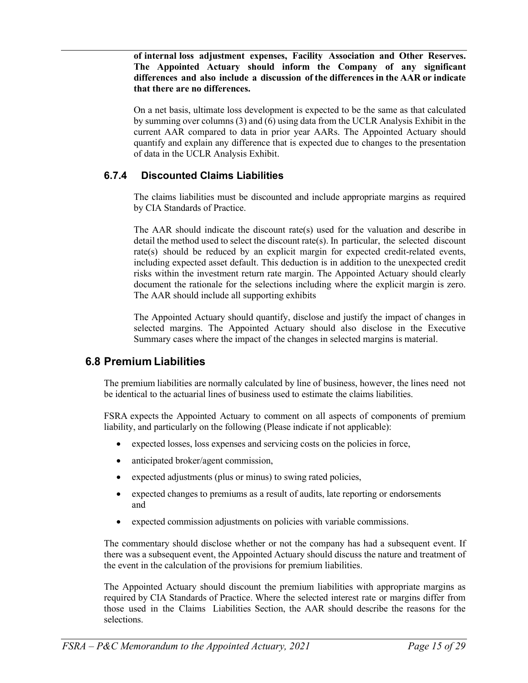**of internal loss adjustment expenses, Facility Association and Other Reserves. The Appointed Actuary should inform the Company of any significant differences and also include a discussion of the differences in the AAR or indicate that there are no differences.**

On a net basis, ultimate loss development is expected to be the same as that calculated by summing over columns (3) and (6) using data from the UCLR Analysis Exhibit in the current AAR compared to data in prior year AARs. The Appointed Actuary should quantify and explain any difference that is expected due to changes to the presentation of data in the UCLR Analysis Exhibit.

### **6.7.4 Discounted Claims Liabilities**

The claims liabilities must be discounted and include appropriate margins as required by CIA Standards of Practice.

The AAR should indicate the discount rate(s) used for the valuation and describe in detail the method used to select the discount rate(s). In particular, the selected discount rate(s) should be reduced by an explicit margin for expected credit-related events, including expected asset default. This deduction is in addition to the unexpected credit risks within the investment return rate margin. The Appointed Actuary should clearly document the rationale for the selections including where the explicit margin is zero. The AAR should include all supporting exhibits

The Appointed Actuary should quantify, disclose and justify the impact of changes in selected margins. The Appointed Actuary should also disclose in the Executive Summary cases where the impact of the changes in selected margins is material.

### <span id="page-14-0"></span>**6.8 Premium Liabilities**

The premium liabilities are normally calculated by line of business, however, the lines need not be identical to the actuarial lines of business used to estimate the claims liabilities.

FSRA expects the Appointed Actuary to comment on all aspects of components of premium liability, and particularly on the following (Please indicate if not applicable):

- expected losses, loss expenses and servicing costs on the policies in force,
- anticipated broker/agent commission,
- expected adjustments (plus or minus) to swing rated policies,
- expected changes to premiums as a result of audits, late reporting or endorsements and
- expected commission adjustments on policies with variable commissions.

The commentary should disclose whether or not the company has had a subsequent event. If there was a subsequent event, the Appointed Actuary should discuss the nature and treatment of the event in the calculation of the provisions for premium liabilities.

The Appointed Actuary should discount the premium liabilities with appropriate margins as required by CIA Standards of Practice. Where the selected interest rate or margins differ from those used in the Claims Liabilities Section, the AAR should describe the reasons for the selections.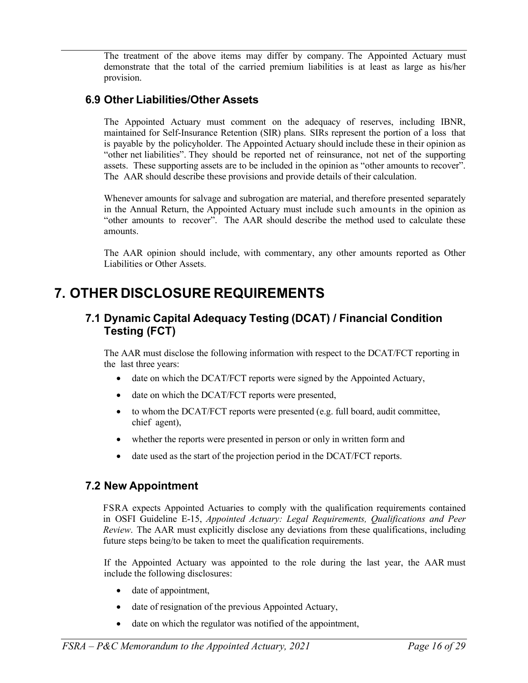The treatment of the above items may differ by company. The Appointed Actuary must demonstrate that the total of the carried premium liabilities is at least as large as his/her provision.

### <span id="page-15-0"></span>**6.9 Other Liabilities/Other Assets**

The Appointed Actuary must comment on the adequacy of reserves, including IBNR, maintained for Self-Insurance Retention (SIR) plans. SIRs represent the portion of a loss that is payable by the policyholder. The Appointed Actuary should include these in their opinion as "other net liabilities". They should be reported net of reinsurance, not net of the supporting assets. These supporting assets are to be included in the opinion as "other amounts to recover". The AAR should describe these provisions and provide details of their calculation.

Whenever amounts for salvage and subrogation are material, and therefore presented separately in the Annual Return, the Appointed Actuary must include such amounts in the opinion as "other amounts to recover". The AAR should describe the method used to calculate these amounts.

The AAR opinion should include, with commentary, any other amounts reported as Other Liabilities or Other Assets.

## <span id="page-15-2"></span><span id="page-15-1"></span>**7. OTHER DISCLOSURE REQUIREMENTS**

### **7.1 Dynamic Capital Adequacy Testing (DCAT) / Financial Condition Testing (FCT)**

The AAR must disclose the following information with respect to the DCAT/FCT reporting in the last three years:

- date on which the DCAT/FCT reports were signed by the Appointed Actuary,
- date on which the DCAT/FCT reports were presented,
- to whom the DCAT/FCT reports were presented (e.g. full board, audit committee, chief agent),
- whether the reports were presented in person or only in written form and
- date used as the start of the projection period in the DCAT/FCT reports.

## <span id="page-15-3"></span>**7.2 New Appointment**

FSRA expects Appointed Actuaries to comply with the qualification requirements contained in OSFI Guideline E-15, *Appointed Actuary: Legal Requirements, Qualifications and Peer Review*. The AAR must explicitly disclose any deviations from these qualifications, including future steps being/to be taken to meet the qualification requirements.

If the Appointed Actuary was appointed to the role during the last year, the AAR must include the following disclosures:

- date of appointment,
- date of resignation of the previous Appointed Actuary,
- date on which the regulator was notified of the appointment,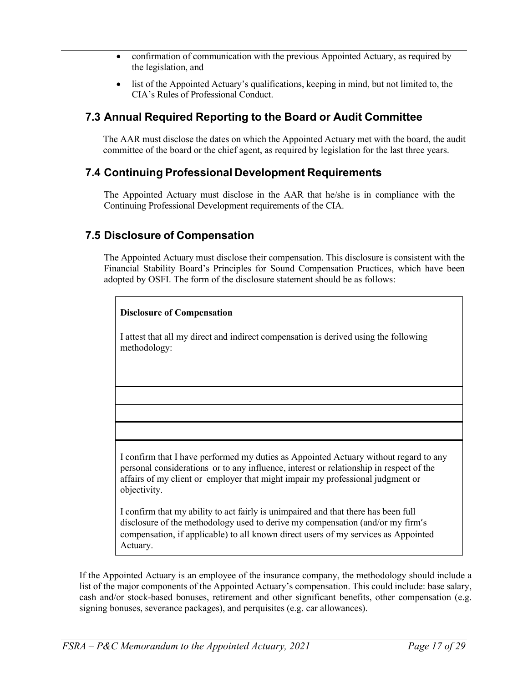- confirmation of communication with the previous Appointed Actuary, as required by the legislation, and
- list of the Appointed Actuary's qualifications, keeping in mind, but not limited to, the CIA's Rules of Professional Conduct.

## <span id="page-16-0"></span>**7.3 Annual Required Reporting to the Board or Audit Committee**

The AAR must disclose the dates on which the Appointed Actuary met with the board, the audit committee of the board or the chief agent, as required by legislation for the last three years.

### <span id="page-16-1"></span>**7.4 Continuing Professional Development Requirements**

The Appointed Actuary must disclose in the AAR that he/she is in compliance with the Continuing Professional Development requirements of the CIA.

### <span id="page-16-2"></span>**7.5 Disclosure of Compensation**

The Appointed Actuary must disclose their compensation. This disclosure is consistent with the Financial Stability Board's Principles for Sound Compensation Practices, which have been adopted by OSFI. The form of the disclosure statement should be as follows:

| <b>Disclosure of Compensation</b>                                                                                                                                                                                                                                                 |
|-----------------------------------------------------------------------------------------------------------------------------------------------------------------------------------------------------------------------------------------------------------------------------------|
| I attest that all my direct and indirect compensation is derived using the following<br>methodology:                                                                                                                                                                              |
|                                                                                                                                                                                                                                                                                   |
|                                                                                                                                                                                                                                                                                   |
|                                                                                                                                                                                                                                                                                   |
|                                                                                                                                                                                                                                                                                   |
| I confirm that I have performed my duties as Appointed Actuary without regard to any<br>personal considerations or to any influence, interest or relationship in respect of the<br>affairs of my client or employer that might impair my professional judgment or<br>objectivity. |
| I confirm that my ability to act fairly is unimpaired and that there has been full<br>disclosure of the methodology used to derive my compensation (and/or my firm's<br>compensation, if applicable) to all known direct users of my services as Appointed                        |

If the Appointed Actuary is an employee of the insurance company, the methodology should include a list of the major components of the Appointed Actuary's compensation. This could include: base salary, cash and/or stock-based bonuses, retirement and other significant benefits, other compensation (e.g. signing bonuses, severance packages), and perquisites (e.g. car allowances).

Actuary.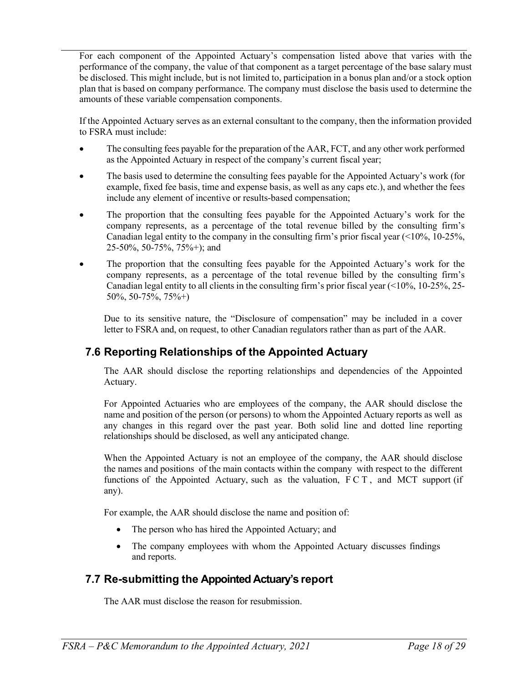For each component of the Appointed Actuary's compensation listed above that varies with the performance of the company, the value of that component as a target percentage of the base salary must be disclosed. This might include, but is not limited to, participation in a bonus plan and/or a stock option plan that is based on company performance. The company must disclose the basis used to determine the amounts of these variable compensation components.

If the Appointed Actuary serves as an external consultant to the company, then the information provided to FSRA must include:

- The consulting fees payable for the preparation of the AAR, FCT, and any other work performed as the Appointed Actuary in respect of the company's current fiscal year;
- The basis used to determine the consulting fees payable for the Appointed Actuary's work (for example, fixed fee basis, time and expense basis, as well as any caps etc.), and whether the fees include any element of incentive or results-based compensation;
- The proportion that the consulting fees payable for the Appointed Actuary's work for the company represents, as a percentage of the total revenue billed by the consulting firm's Canadian legal entity to the company in the consulting firm's prior fiscal year (<10%, 10-25%, 25-50%, 50-75%, 75%+); and
- The proportion that the consulting fees payable for the Appointed Actuary's work for the company represents, as a percentage of the total revenue billed by the consulting firm's Canadian legal entity to all clients in the consulting firm's prior fiscal year  $\left( \frac{10\%}{0.10\%}, \frac{10\%}{0.25\%}, \frac{25\%}{0.25\%} \right)$ 50%, 50-75%, 75%+)

Due to its sensitive nature, the "Disclosure of compensation" may be included in a cover letter to FSRA and, on request, to other Canadian regulators rather than as part of the AAR.

## <span id="page-17-0"></span>**7.6 Reporting Relationships of the Appointed Actuary**

The AAR should disclose the reporting relationships and dependencies of the Appointed Actuary.

For Appointed Actuaries who are employees of the company, the AAR should disclose the name and position of the person (or persons) to whom the Appointed Actuary reports as well as any changes in this regard over the past year. Both solid line and dotted line reporting relationships should be disclosed, as well any anticipated change.

When the Appointed Actuary is not an employee of the company, the AAR should disclose the names and positions of the main contacts within the company with respect to the different functions of the Appointed Actuary, such as the valuation, FCT , and MCT support (if any).

For example, the AAR should disclose the name and position of:

- The person who has hired the Appointed Actuary; and
- The company employees with whom the Appointed Actuary discusses findings and reports.

## <span id="page-17-1"></span>**7.7 Re-submitting the Appointed Actuary's report**

The AAR must disclose the reason for resubmission.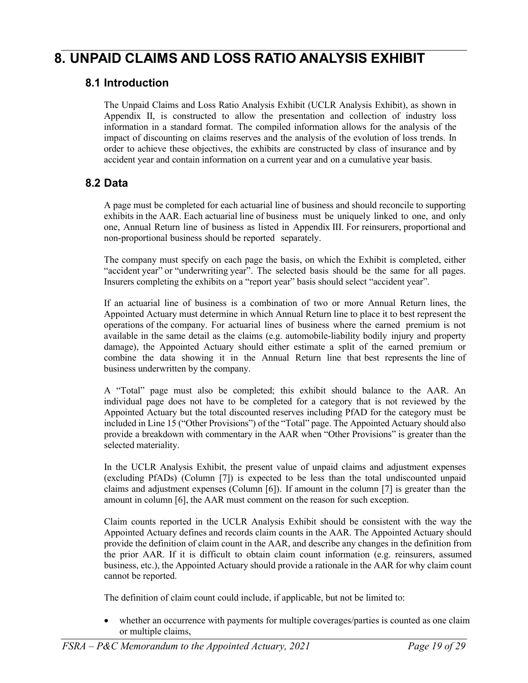# <span id="page-18-1"></span><span id="page-18-0"></span>**8. UNPAID CLAIMS AND LOSS RATIO ANALYSIS EXHIBIT**

### **8.1 Introduction**

The Unpaid Claims and Loss Ratio Analysis Exhibit (UCLR Analysis Exhibit), as shown in Appendix II, is constructed to allow the presentation and collection of industry loss information in a standard format. The compiled information allows for the analysis of the impact of discounting on claims reserves and the analysis of the evolution of loss trends. In order to achieve these objectives, the exhibits are constructed by class of insurance and by accident year and contain information on a current year and on a cumulative year basis.

### <span id="page-18-2"></span>**8.2 Data**

A page must be completed for each actuarial line of business and should reconcile to supporting exhibits in the AAR. Each actuarial line of business must be uniquely linked to one, and only one, Annual Return line of business as listed in Appendix III. For reinsurers, proportional and non-proportional business should be reported separately.

The company must specify on each page the basis, on which the Exhibit is completed, either "accident year" or "underwriting year". The selected basis should be the same for all pages. Insurers completing the exhibits on a "report year" basis should select "accident year".

If an actuarial line of business is a combination of two or more Annual Return lines, the Appointed Actuary must determine in which Annual Return line to place it to best represent the operations of the company. For actuarial lines of business where the earned premium is not available in the same detail as the claims (e.g. automobile-liability bodily injury and property damage), the Appointed Actuary should either estimate a split of the earned premium or combine the data showing it in the Annual Return line that best represents the line of business underwritten by the company.

A "Total" page must also be completed; this exhibit should balance to the AAR. An individual page does not have to be completed for a category that is not reviewed by the Appointed Actuary but the total discounted reserves including PfAD for the category must be included in Line 15 ("Other Provisions") of the "Total" page. The Appointed Actuary should also provide a breakdown with commentary in the AAR when "Other Provisions" is greater than the selected materiality.

In the UCLR Analysis Exhibit, the present value of unpaid claims and adjustment expenses (excluding PfADs) (Column [7]) is expected to be less than the total undiscounted unpaid claims and adjustment expenses (Column [6]). If amount in the column [7] is greater than the amount in column [6], the AAR must comment on the reason for such exception.

Claim counts reported in the UCLR Analysis Exhibit should be consistent with the way the Appointed Actuary defines and records claim counts in the AAR. The Appointed Actuary should provide the definition of claim count in the AAR, and describe any changes in the definition from the prior AAR. If it is difficult to obtain claim count information (e.g. reinsurers, assumed business, etc.), the Appointed Actuary should provide a rationale in the AAR for why claim count cannot be reported.

The definition of claim count could include, if applicable, but not be limited to:

whether an occurrence with payments for multiple coverages/parties is counted as one claim or multiple claims,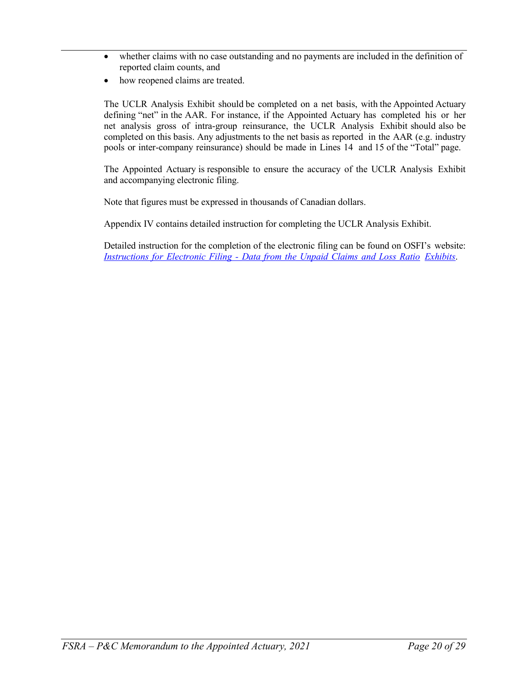- whether claims with no case outstanding and no payments are included in the definition of reported claim counts, and
- how reopened claims are treated.

The UCLR Analysis Exhibit should be completed on a net basis, with the Appointed Actuary defining "net" in the AAR. For instance, if the Appointed Actuary has completed his or her net analysis gross of intra-group reinsurance, the UCLR Analysis Exhibit should also be completed on this basis. Any adjustments to the net basis as reported in the AAR (e.g. industry pools or inter-company reinsurance) should be made in Lines 14 and 15 of the "Total" page.

The Appointed Actuary is responsible to ensure the accuracy of the UCLR Analysis Exhibit and accompanying electronic filing.

Note that figures must be expressed in thousands of Canadian dollars.

Appendix IV contains detailed instruction for completing the UCLR Analysis Exhibit.

Detailed instruction for the completion of the electronic filing can be found on OSFI's website: *[Instructions](http://www.osfi-bsif.gc.ca/Eng/fi-if/rtn-rlv/fr-rf/ic-sa/pc-sam/Pages/PCInstrElectrFiling.aspx) for Electronic Filing - Data from the Unpaid Claims and Loss Ratio [Exhibits](http://www.osfi-bsif.gc.ca/Eng/fi-if/rtn-rlv/fr-rf/ic-sa/pc-sam/Pages/PCInstrElectrFiling.aspx)*.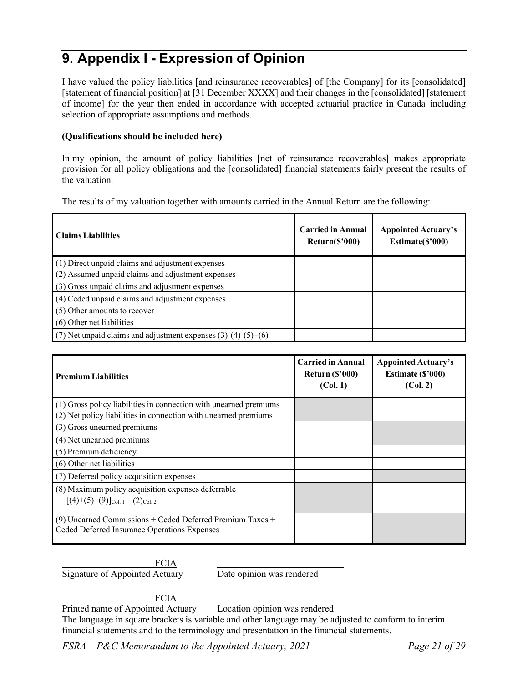# <span id="page-20-0"></span>**9. Appendix I - Expression of Opinion**

I have valued the policy liabilities [and reinsurance recoverables] of [the Company] for its [consolidated] [statement of financial position] at [31 December XXXX] and their changes in the [consolidated] [statement of income] for the year then ended in accordance with accepted actuarial practice in Canada including selection of appropriate assumptions and methods.

#### **(Qualifications should be included here)**

In my opinion, the amount of policy liabilities [net of reinsurance recoverables] makes appropriate provision for all policy obligations and the [consolidated] financial statements fairly present the results of the valuation.

The results of my valuation together with amounts carried in the Annual Return are the following:

| <b>Claims Liabilities</b>                                       | <b>Carried in Annual</b><br>$Return(\$'000)$ | <b>Appointed Actuary's</b><br>Estimate(\$'000) |
|-----------------------------------------------------------------|----------------------------------------------|------------------------------------------------|
| (1) Direct unpaid claims and adjustment expenses                |                                              |                                                |
| (2) Assumed unpaid claims and adjustment expenses               |                                              |                                                |
| (3) Gross unpaid claims and adjustment expenses                 |                                              |                                                |
| (4) Ceded unpaid claims and adjustment expenses                 |                                              |                                                |
| (5) Other amounts to recover                                    |                                              |                                                |
| (6) Other net liabilities                                       |                                              |                                                |
| (7) Net unpaid claims and adjustment expenses $(3)-(4)-(5)+(6)$ |                                              |                                                |

| <b>Premium Liabilities</b>                                                                                  | <b>Carried in Annual</b><br>Return $(\$$ '000)<br>(Col. 1) | <b>Appointed Actuary's</b><br>Estimate (\$'000)<br>(Col. 2) |  |  |  |
|-------------------------------------------------------------------------------------------------------------|------------------------------------------------------------|-------------------------------------------------------------|--|--|--|
| (1) Gross policy liabilities in connection with unearned premiums                                           |                                                            |                                                             |  |  |  |
| (2) Net policy liabilities in connection with unearned premiums                                             |                                                            |                                                             |  |  |  |
| (3) Gross unearned premiums                                                                                 |                                                            |                                                             |  |  |  |
| (4) Net unearned premiums                                                                                   |                                                            |                                                             |  |  |  |
| (5) Premium deficiency                                                                                      |                                                            |                                                             |  |  |  |
| (6) Other net liabilities                                                                                   |                                                            |                                                             |  |  |  |
| (7) Deferred policy acquisition expenses                                                                    |                                                            |                                                             |  |  |  |
| (8) Maximum policy acquisition expenses deferrable<br>$[(4)+(5)+(9)]_{\text{Col. }1-(2)_{\text{Col. }2}$    |                                                            |                                                             |  |  |  |
| $(9)$ Unearned Commissions + Ceded Deferred Premium Taxes +<br>Ceded Deferred Insurance Operations Expenses |                                                            |                                                             |  |  |  |

FCIA Signature of Appointed Actuary Date opinion was rendered

**FCIA** 

Printed name of Appointed Actuary Location opinion was rendered

The language in square brackets is variable and other language may be adjusted to conform to interim financial statements and to the terminology and presentation in the financial statements.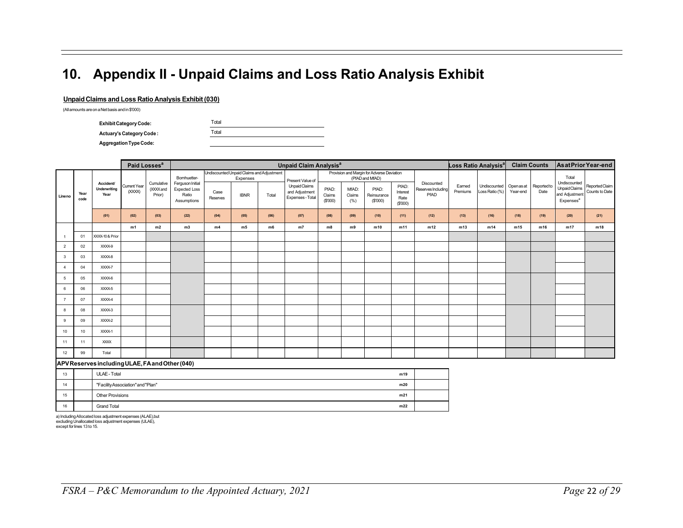# **10. Appendix II - Unpaid Claims and Loss Ratio Analysis Exhibit**

#### **Unpaid Claims and Loss Ratio Analysis Exhibit (030)**

(Allamounts areonaNetbasis andin\$'000)

| <b>Exhibit Category Code:</b>   | Total |
|---------------------------------|-------|
| <b>Actuary's Category Code:</b> | Total |
| <b>Aggregation Type Code:</b>   |       |

<span id="page-21-0"></span>

|                |              |                                                 | Paid Losses <sup>a</sup> |                                   |                                                                  |                                                       |                |       | <b>Unpaid Claim Analysis<sup>a</sup></b>                                          |                            |                         |                                  |                                      |                                          |                    | Loss Ratio Analysis <sup>a</sup>                     |          | <b>Claim Counts</b> | <b>AsatPrior Year-end</b>                                                |                                  |
|----------------|--------------|-------------------------------------------------|--------------------------|-----------------------------------|------------------------------------------------------------------|-------------------------------------------------------|----------------|-------|-----------------------------------------------------------------------------------|----------------------------|-------------------------|----------------------------------|--------------------------------------|------------------------------------------|--------------------|------------------------------------------------------|----------|---------------------|--------------------------------------------------------------------------|----------------------------------|
| Lineno         |              | <b>Accident/</b><br>Underwriting<br>Year        |                          |                                   | Bornhuetter-                                                     | Undiscounted Unpaid Claims and Adjustment<br>Expenses |                |       | Provision and Margin for Adverse Deviation<br>(PfAD and MfAD)<br>Present Value of |                            |                         |                                  |                                      |                                          |                    |                                                      |          |                     | Total                                                                    |                                  |
|                | Year<br>code |                                                 | Current Year<br>(XXXX)   | Cumulative<br>(XXXX and<br>Prior) | Ferguson Initial<br><b>Expected Loss</b><br>Ratio<br>Assumptions | Case<br>Reserves                                      | <b>IBNR</b>    | Total | Unpaid Claims<br>and Adjustment<br>Expenses - Total                               | PfAD:<br>Claims<br>(\$000) | MfAD:<br>Claims<br>(% ) | PfAD:<br>Reinsurance<br>(\$'000) | PfAD:<br>Interest<br>Rate<br>(\$000) | Discounted<br>Reserves Including<br>PfAD | Earned<br>Premiums | Undiscounted Openas at Reported to<br>Loss Ratio (%) | Year-end | Date                | Undiscounted<br>Unpaid Claims<br>and Adjustment<br>Expenses <sup>a</sup> | Reported Claim<br>Counts to Date |
|                |              | (01)                                            | (02)                     | (03)                              | (22)                                                             | (04)                                                  | (05)           | (06)  | (07)                                                                              | (08)                       | (09)                    | (10)                             | (11)                                 | (12)                                     | (13)               | (16)                                                 | (18)     | (19)                | (20)                                                                     | (21)                             |
|                |              |                                                 | m1                       | m2                                | m3                                                               | m4                                                    | m <sub>5</sub> | m6    | m7                                                                                | m8                         | m9                      | m10                              | m11                                  | m12                                      | m13                | m14                                                  | m15      | m16                 | m17                                                                      | m18                              |
|                | 01           | XXXX-10 & Prior                                 |                          |                                   |                                                                  |                                                       |                |       |                                                                                   |                            |                         |                                  |                                      |                                          |                    |                                                      |          |                     |                                                                          |                                  |
| $\overline{2}$ | 02           | XXXX-9                                          |                          |                                   |                                                                  |                                                       |                |       |                                                                                   |                            |                         |                                  |                                      |                                          |                    |                                                      |          |                     |                                                                          |                                  |
| 3              | 03           | XXXX-8                                          |                          |                                   |                                                                  |                                                       |                |       |                                                                                   |                            |                         |                                  |                                      |                                          |                    |                                                      |          |                     |                                                                          |                                  |
| $\overline{4}$ | 04           | XXXX-7                                          |                          |                                   |                                                                  |                                                       |                |       |                                                                                   |                            |                         |                                  |                                      |                                          |                    |                                                      |          |                     |                                                                          |                                  |
| 5              | 05           | XXXX-6                                          |                          |                                   |                                                                  |                                                       |                |       |                                                                                   |                            |                         |                                  |                                      |                                          |                    |                                                      |          |                     |                                                                          |                                  |
| 6              | 06           | XXXX-5                                          |                          |                                   |                                                                  |                                                       |                |       |                                                                                   |                            |                         |                                  |                                      |                                          |                    |                                                      |          |                     |                                                                          |                                  |
| $\overline{7}$ | 07           | XXXX-4                                          |                          |                                   |                                                                  |                                                       |                |       |                                                                                   |                            |                         |                                  |                                      |                                          |                    |                                                      |          |                     |                                                                          |                                  |
| 8              | 08           | XXXX-3                                          |                          |                                   |                                                                  |                                                       |                |       |                                                                                   |                            |                         |                                  |                                      |                                          |                    |                                                      |          |                     |                                                                          |                                  |
| 9              | 09           | XXXX-2                                          |                          |                                   |                                                                  |                                                       |                |       |                                                                                   |                            |                         |                                  |                                      |                                          |                    |                                                      |          |                     |                                                                          |                                  |
| 10             | 10           | XXXX-1                                          |                          |                                   |                                                                  |                                                       |                |       |                                                                                   |                            |                         |                                  |                                      |                                          |                    |                                                      |          |                     |                                                                          |                                  |
| 11             | 11           | <b>XXXX</b>                                     |                          |                                   |                                                                  |                                                       |                |       |                                                                                   |                            |                         |                                  |                                      |                                          |                    |                                                      |          |                     |                                                                          |                                  |
| 12             | 99           | Total                                           |                          |                                   |                                                                  |                                                       |                |       |                                                                                   |                            |                         |                                  |                                      |                                          |                    |                                                      |          |                     |                                                                          |                                  |
|                |              | APV Reserves including ULAE, FA and Other (040) |                          |                                   |                                                                  |                                                       |                |       |                                                                                   |                            |                         |                                  |                                      |                                          |                    |                                                      |          |                     |                                                                          |                                  |
|                |              |                                                 |                          |                                   |                                                                  |                                                       |                |       |                                                                                   |                            |                         |                                  |                                      |                                          |                    |                                                      |          |                     |                                                                          |                                  |

 $\mathbb{R}^2$ 

| 13 | ULAE - Total                      | m19 |  |
|----|-----------------------------------|-----|--|
| 14 | "Facility Association" and "Plan" | m20 |  |
| 15 | <b>Other Provisions</b>           | m21 |  |
| 16 | <b>Grand Total</b>                | m22 |  |

a) Including Allocated Ioss adjustment expenses (ALAE),but<br>excluding Unallocated Ioss adjustment expenses (ULAE),<br>except for lines 13 to 15.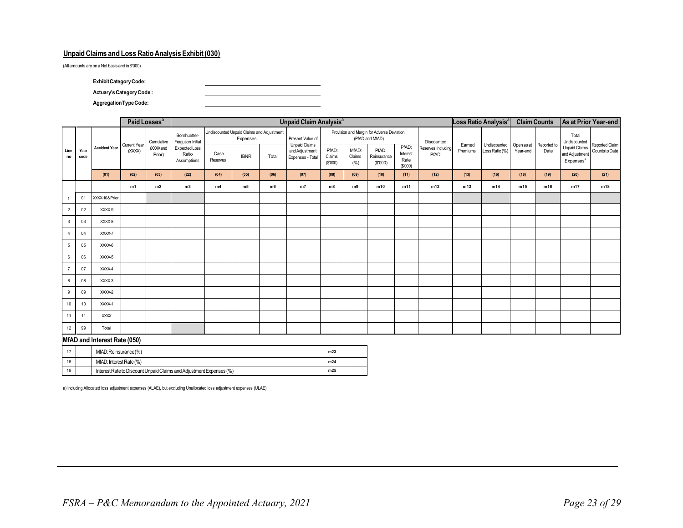#### **Unpaid Claims and Loss Ratio Analysis Exhibit (030)**

(All amounts are on aNet basis and in \$'000)

**ExhibitCategoryCode:**

**Actuary'sCategoryCode :**

**AggregationTypeCode:**

|                |                                |                              |                               | Paid Losses <sup>a</sup> |                                       |                                                       |             |       | <b>Unpaid Claim Analysis<sup>a</sup></b>                   |                            |                         |                                                               |                                      |                            |                   | Loss Ratio Analysis <sup>a</sup> |                                    | <b>Claim Counts</b> |                                                                 | As at Prior Year-end             |
|----------------|--------------------------------|------------------------------|-------------------------------|--------------------------|---------------------------------------|-------------------------------------------------------|-------------|-------|------------------------------------------------------------|----------------------------|-------------------------|---------------------------------------------------------------|--------------------------------------|----------------------------|-------------------|----------------------------------|------------------------------------|---------------------|-----------------------------------------------------------------|----------------------------------|
| Line<br>no     |                                | <b>Accident Year</b>         |                               | Cumulative               | Bornhuetter-<br>Ferguson Initial      | Undiscounted Unpaid Claims and Adjustment<br>Expenses |             |       | Present Value of                                           |                            |                         | Provision and Margin for Adverse Deviation<br>(PfAD and MfAD) |                                      | Discounted                 |                   |                                  |                                    |                     | Total<br>Undiscounted                                           |                                  |
|                | Year<br>code                   |                              | <b>Current Year</b><br>(XXXX) | (XXXXand<br>Prior)       | Expected Loss<br>Ratio<br>Assumptions | Case<br>Reserves                                      | <b>IBNR</b> | Total | <b>Unpaid Claims</b><br>and Adjustment<br>Expenses - Total | PfAD:<br>Claims<br>(\$000) | MfAD:<br>Claims<br>(% ) | PfAD:<br>Reinsurance<br>(\$'000)                              | PfAD:<br>Interest<br>Rate<br>(\$000) | Reserves Including<br>PfAD | Eamed<br>Premiums | Undiscounted<br>Loss Ratio(%)    | Open as at Reported to<br>Year-end | Date                | <b>Unpaid Claims</b><br>and Adjustment<br>Expenses <sup>a</sup> | Reported Claim<br>Counts to Date |
|                |                                | (01)                         | (02)                          | (03)                     | (22)                                  | (04)                                                  | (05)        | (06)  | (07)                                                       | (08)                       | (09)                    | (10)                                                          | (11)                                 | (12)                       | (13)              | (16)                             | (18)                               | (19)                | (20)                                                            | (21)                             |
|                |                                |                              | m1                            | m2                       | m3                                    | m4                                                    | m5          | m6    | m7                                                         | m8                         | m9                      | m10                                                           | m11                                  | m12                        | m13               | m14                              | m15                                | m16                 | m17                                                             | m18                              |
|                | 01                             | XXXX-10& Prior               |                               |                          |                                       |                                                       |             |       |                                                            |                            |                         |                                                               |                                      |                            |                   |                                  |                                    |                     |                                                                 |                                  |
| $\overline{2}$ | 02                             | XXXX-9                       |                               |                          |                                       |                                                       |             |       |                                                            |                            |                         |                                                               |                                      |                            |                   |                                  |                                    |                     |                                                                 |                                  |
| 3              | 03                             | XXXX-8                       |                               |                          |                                       |                                                       |             |       |                                                            |                            |                         |                                                               |                                      |                            |                   |                                  |                                    |                     |                                                                 |                                  |
| $\overline{4}$ | 04                             | XXXX-7                       |                               |                          |                                       |                                                       |             |       |                                                            |                            |                         |                                                               |                                      |                            |                   |                                  |                                    |                     |                                                                 |                                  |
| 5              | 05                             | XXXX-6                       |                               |                          |                                       |                                                       |             |       |                                                            |                            |                         |                                                               |                                      |                            |                   |                                  |                                    |                     |                                                                 |                                  |
| 6              | 06                             | XXXX-5                       |                               |                          |                                       |                                                       |             |       |                                                            |                            |                         |                                                               |                                      |                            |                   |                                  |                                    |                     |                                                                 |                                  |
| $\overline{7}$ | 07                             | XXXX-4                       |                               |                          |                                       |                                                       |             |       |                                                            |                            |                         |                                                               |                                      |                            |                   |                                  |                                    |                     |                                                                 |                                  |
| 8              | 08                             | XXXX-3                       |                               |                          |                                       |                                                       |             |       |                                                            |                            |                         |                                                               |                                      |                            |                   |                                  |                                    |                     |                                                                 |                                  |
| 9              | 09                             | XXXX-2                       |                               |                          |                                       |                                                       |             |       |                                                            |                            |                         |                                                               |                                      |                            |                   |                                  |                                    |                     |                                                                 |                                  |
| 10             | 10                             | XXXX-1                       |                               |                          |                                       |                                                       |             |       |                                                            |                            |                         |                                                               |                                      |                            |                   |                                  |                                    |                     |                                                                 |                                  |
| 11             | 11                             | <b>XXXX</b>                  |                               |                          |                                       |                                                       |             |       |                                                            |                            |                         |                                                               |                                      |                            |                   |                                  |                                    |                     |                                                                 |                                  |
| 12             | 99                             | Total                        |                               |                          |                                       |                                                       |             |       |                                                            |                            |                         |                                                               |                                      |                            |                   |                                  |                                    |                     |                                                                 |                                  |
|                |                                | MfAD and Interest Rate (050) |                               |                          |                                       |                                                       |             |       |                                                            |                            |                         |                                                               |                                      |                            |                   |                                  |                                    |                     |                                                                 |                                  |
| 17             | MfAD: Reinsurance(%)<br>m23    |                              |                               |                          |                                       |                                                       |             |       |                                                            |                            |                         |                                                               |                                      |                            |                   |                                  |                                    |                     |                                                                 |                                  |
| 18             | MfAD: Interest Rate (%)<br>m24 |                              |                               |                          |                                       |                                                       |             |       |                                                            |                            |                         |                                                               |                                      |                            |                   |                                  |                                    |                     |                                                                 |                                  |

a) Including Allocated loss adjustment expenses (ALAE), but excluding Unallocated loss adjustment expenses (ULAE)

19 Interest Rate to Discount Unpaid Claims and Adjustment Expenses (%) **m25**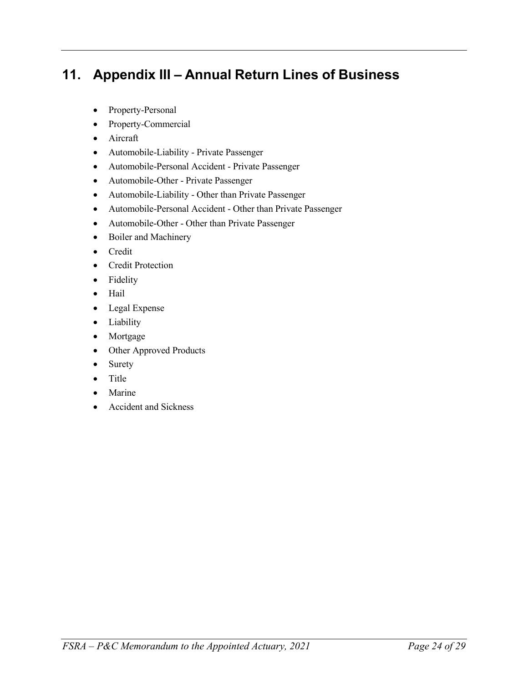# <span id="page-23-0"></span>**11. Appendix III – Annual Return Lines of Business**

- Property-Personal
- Property-Commercial
- Aircraft
- Automobile-Liability Private Passenger
- Automobile-Personal Accident Private Passenger
- Automobile-Other Private Passenger
- Automobile-Liability Other than Private Passenger
- Automobile-Personal Accident Other than Private Passenger
- Automobile-Other Other than Private Passenger
- Boiler and Machinery
- Credit
- Credit Protection
- Fidelity
- Hail
- Legal Expense
- Liability
- Mortgage
- Other Approved Products
- Surety
- Title
- Marine
- Accident and Sickness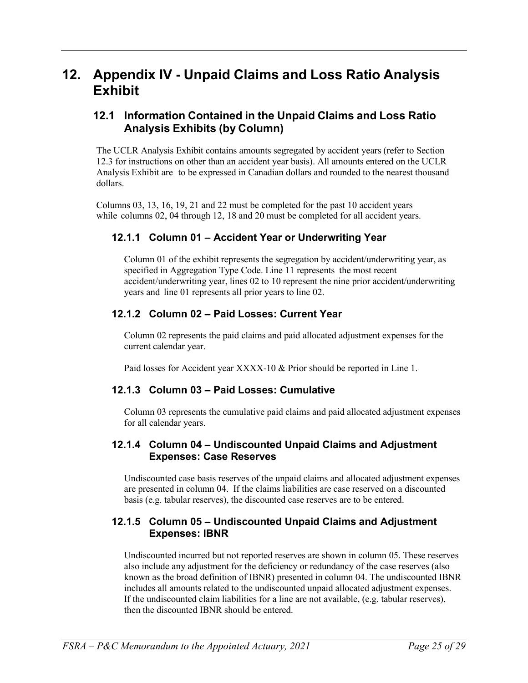## <span id="page-24-0"></span>**12. Appendix IV - Unpaid Claims and Loss Ratio Analysis Exhibit**

### <span id="page-24-2"></span><span id="page-24-1"></span>**12.1 Information Contained in the Unpaid Claims and Loss Ratio Analysis Exhibits (by Column)**

The UCLR Analysis Exhibit contains amounts segregated by accident years (refer to Section 12.3 for instructions on other than an accident year basis). All amounts entered on the UCLR Analysis Exhibit are to be expressed in Canadian dollars and rounded to the nearest thousand dollars.

<span id="page-24-3"></span>Columns 03, 13, 16, 19, 21 and 22 must be completed for the past 10 accident years while columns 02, 04 through 12, 18 and 20 must be completed for all accident years.

### **12.1.1 Column 01 – Accident Year or Underwriting Year**

Column 01 of the exhibit represents the segregation by accident/underwriting year, as specified in Aggregation Type Code. Line 11 represents the most recent accident/underwriting year, lines 02 to 10 represent the nine prior accident/underwriting years and line 01 represents all prior years to line 02.

### <span id="page-24-4"></span>**12.1.2 Column 02 – Paid Losses: Current Year**

Column 02 represents the paid claims and paid allocated adjustment expenses for the current calendar year.

Paid losses for Accident year XXXX-10 & Prior should be reported in Line 1.

### <span id="page-24-5"></span>**12.1.3 Column 03 – Paid Losses: Cumulative**

Column 03 represents the cumulative paid claims and paid allocated adjustment expenses for all calendar years.

### <span id="page-24-6"></span>**12.1.4 Column 04 – Undiscounted Unpaid Claims and Adjustment Expenses: Case Reserves**

Undiscounted case basis reserves of the unpaid claims and allocated adjustment expenses are presented in column 04. If the claims liabilities are case reserved on a discounted basis (e.g. tabular reserves), the discounted case reserves are to be entered.

### <span id="page-24-7"></span>**12.1.5 Column 05 – Undiscounted Unpaid Claims and Adjustment Expenses: IBNR**

Undiscounted incurred but not reported reserves are shown in column 05. These reserves also include any adjustment for the deficiency or redundancy of the case reserves (also known as the broad definition of IBNR) presented in column 04. The undiscounted IBNR includes all amounts related to the undiscounted unpaid allocated adjustment expenses. If the undiscounted claim liabilities for a line are not available, (e.g. tabular reserves), then the discounted IBNR should be entered.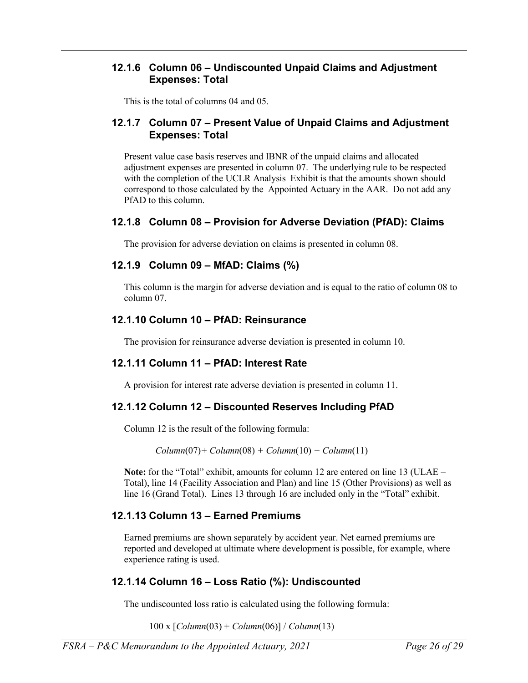### <span id="page-25-0"></span>**12.1.6 Column 06 – Undiscounted Unpaid Claims and Adjustment Expenses: Total**

This is the total of columns 04 and 05.

### <span id="page-25-1"></span>**12.1.7 Column 07 – Present Value of Unpaid Claims and Adjustment Expenses: Total**

Present value case basis reserves and IBNR of the unpaid claims and allocated adjustment expenses are presented in column 07. The underlying rule to be respected with the completion of the UCLR Analysis Exhibit is that the amounts shown should correspond to those calculated by the Appointed Actuary in the AAR. Do not add any PfAD to this column.

### <span id="page-25-2"></span>**12.1.8 Column 08 – Provision for Adverse Deviation (PfAD): Claims**

The provision for adverse deviation on claims is presented in column 08.

### <span id="page-25-3"></span>**12.1.9 Column 09 – MfAD: Claims (%)**

This column is the margin for adverse deviation and is equal to the ratio of column 08 to column 07.

### <span id="page-25-4"></span>**12.1.10 Column 10 – PfAD: Reinsurance**

The provision for reinsurance adverse deviation is presented in column 10.

## <span id="page-25-5"></span>**12.1.11 Column 11 – PfAD: Interest Rate**

A provision for interest rate adverse deviation is presented in column 11.

## <span id="page-25-6"></span>**12.1.12 Column 12 – Discounted Reserves Including PfAD**

Column 12 is the result of the following formula:

*Column*(07)*+ Column*(08) *+ Column*(10) *+ Column*(11)

**Note:** for the "Total" exhibit, amounts for column 12 are entered on line 13 (ULAE – Total), line 14 (Facility Association and Plan) and line 15 (Other Provisions) as well as line 16 (Grand Total). Lines 13 through 16 are included only in the "Total" exhibit.

## <span id="page-25-7"></span>**12.1.13 Column 13 – Earned Premiums**

Earned premiums are shown separately by accident year. Net earned premiums are reported and developed at ultimate where development is possible, for example, where experience rating is used.

## **12.1.14 Column 16 – Loss Ratio (%): Undiscounted**

The undiscounted loss ratio is calculated using the following formula:

100 x [*Column*(03) + *Column*(06)] / *Column*(13)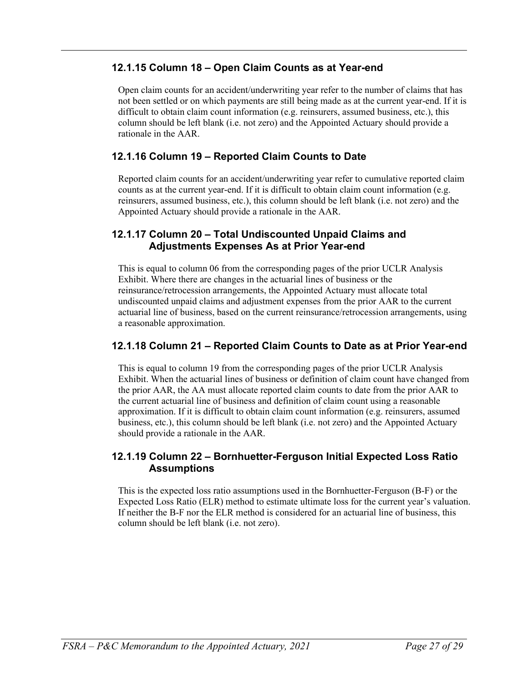### **12.1.15 Column 18 – Open Claim Counts as at Year-end**

Open claim counts for an accident/underwriting year refer to the number of claims that has not been settled or on which payments are still being made as at the current year-end. If it is difficult to obtain claim count information (e.g. reinsurers, assumed business, etc.), this column should be left blank (i.e. not zero) and the Appointed Actuary should provide a rationale in the AAR.

### **12.1.16 Column 19 – Reported Claim Counts to Date**

Reported claim counts for an accident/underwriting year refer to cumulative reported claim counts as at the current year-end. If it is difficult to obtain claim count information (e.g. reinsurers, assumed business, etc.), this column should be left blank (i.e. not zero) and the Appointed Actuary should provide a rationale in the AAR.

### **12.1.17 Column 20 – Total Undiscounted Unpaid Claims and Adjustments Expenses As at Prior Year-end**

This is equal to column 06 from the corresponding pages of the prior UCLR Analysis Exhibit. Where there are changes in the actuarial lines of business or the reinsurance/retrocession arrangements, the Appointed Actuary must allocate total undiscounted unpaid claims and adjustment expenses from the prior AAR to the current actuarial line of business, based on the current reinsurance/retrocession arrangements, using a reasonable approximation.

### **12.1.18 Column 21 – Reported Claim Counts to Date as at Prior Year-end**

This is equal to column 19 from the corresponding pages of the prior UCLR Analysis Exhibit. When the actuarial lines of business or definition of claim count have changed from the prior AAR, the AA must allocate reported claim counts to date from the prior AAR to the current actuarial line of business and definition of claim count using a reasonable approximation. If it is difficult to obtain claim count information (e.g. reinsurers, assumed business, etc.), this column should be left blank (i.e. not zero) and the Appointed Actuary should provide a rationale in the AAR.

#### **12.1.19 Column 22 – Bornhuetter-Ferguson Initial Expected Loss Ratio Assumptions**

This is the expected loss ratio assumptions used in the Bornhuetter-Ferguson (B-F) or the Expected Loss Ratio (ELR) method to estimate ultimate loss for the current year's valuation. If neither the B-F nor the ELR method is considered for an actuarial line of business, this column should be left blank (i.e. not zero).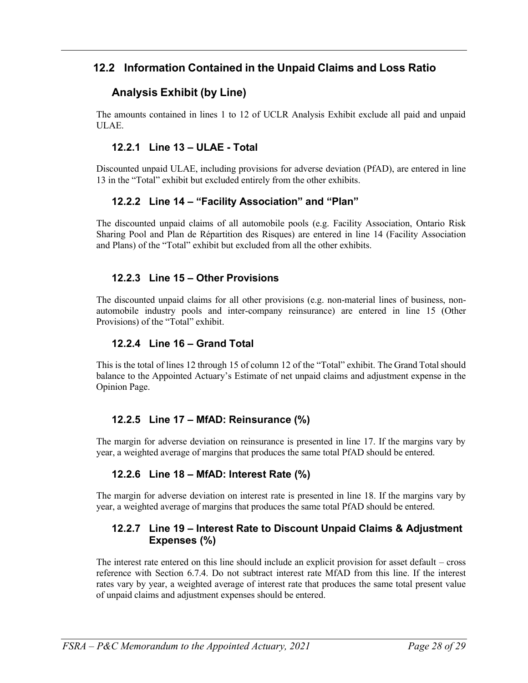## <span id="page-27-0"></span>**12.2 Information Contained in the Unpaid Claims and Loss Ratio**

## **Analysis Exhibit (by Line)**

The amounts contained in lines 1 to 12 of UCLR Analysis Exhibit exclude all paid and unpaid ULAE.

### **12.2.1 Line 13 – ULAE - Total**

<span id="page-27-1"></span>Discounted unpaid ULAE, including provisions for adverse deviation (PfAD), are entered in line 13 in the "Total" exhibit but excluded entirely from the other exhibits.

### **12.2.2 Line 14 – "Facility Association" and "Plan"**

<span id="page-27-2"></span>The discounted unpaid claims of all automobile pools (e.g. Facility Association, Ontario Risk Sharing Pool and Plan de Répartition des Risques) are entered in line 14 (Facility Association and Plans) of the "Total" exhibit but excluded from all the other exhibits.

### **12.2.3 Line 15 – Other Provisions**

The discounted unpaid claims for all other provisions (e.g. non-material lines of business, nonautomobile industry pools and inter-company reinsurance) are entered in line 15 (Other Provisions) of the "Total" exhibit.

#### **12.2.4 Line 16 – Grand Total**

This is the total of lines 12 through 15 of column 12 of the "Total" exhibit. The Grand Total should balance to the Appointed Actuary's Estimate of net unpaid claims and adjustment expense in the Opinion Page.

### **12.2.5 Line 17 – MfAD: Reinsurance (%)**

The margin for adverse deviation on reinsurance is presented in line 17. If the margins vary by year, a weighted average of margins that produces the same total PfAD should be entered.

### **12.2.6 Line 18 – MfAD: Interest Rate (%)**

The margin for adverse deviation on interest rate is presented in line 18. If the margins vary by year, a weighted average of margins that produces the same total PfAD should be entered.

### **12.2.7 Line 19 – Interest Rate to Discount Unpaid Claims & Adjustment Expenses (%)**

The interest rate entered on this line should include an explicit provision for asset default – cross reference with Section 6.7.4. Do not subtract interest rate MfAD from this line. If the interest rates vary by year, a weighted average of interest rate that produces the same total present value of unpaid claims and adjustment expenses should be entered.